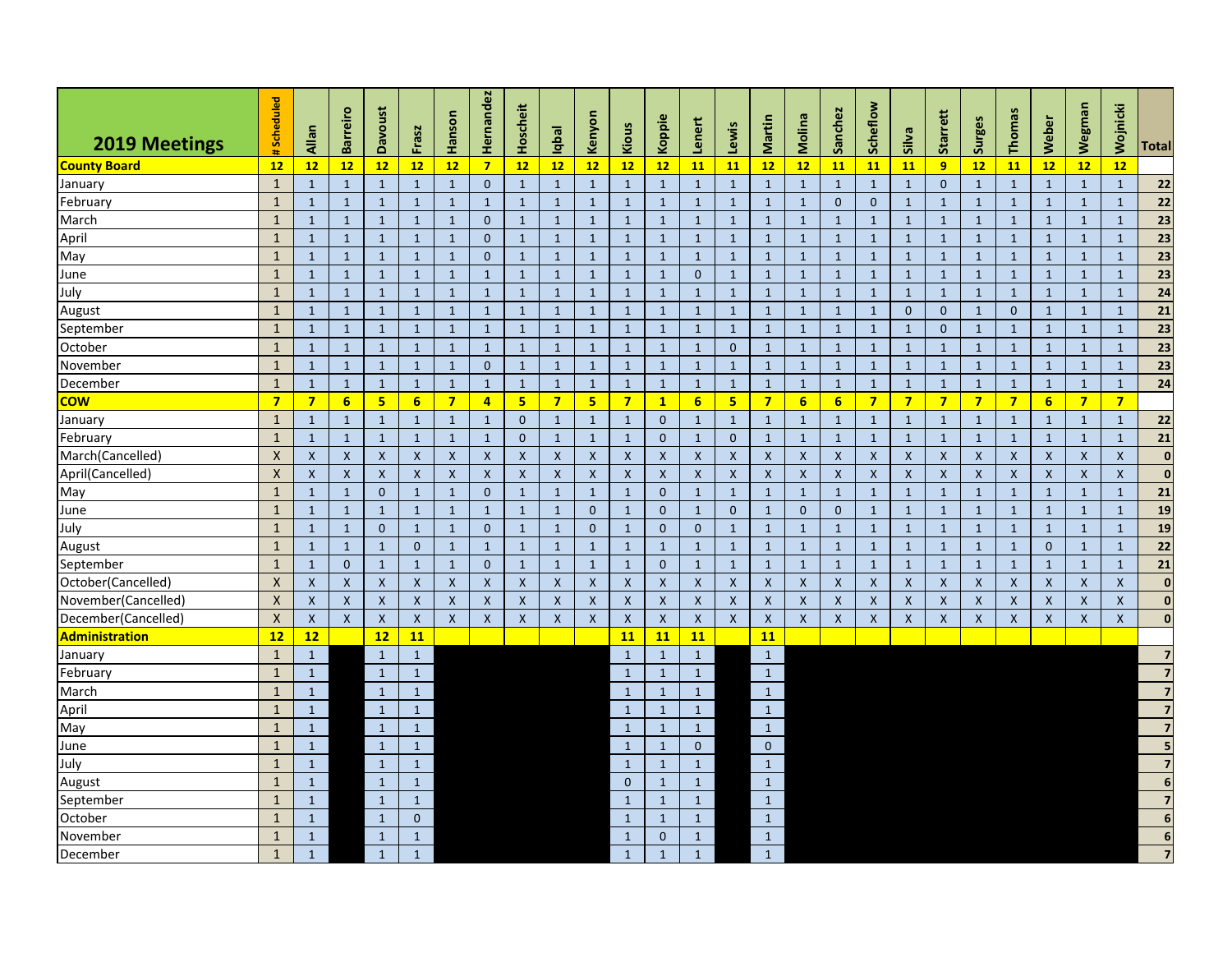| <b>2019 Meetings</b>  | Scheduled                 | Allan                     | <b>Barreiro</b> | <b>Davoust</b>            | Frasz              | Hanson                    | Hernandez        | Hoscheit           | Iqbal          | Kenyon           | Kious          | Koppie           | -enert                    | Lewis          | Martin                    | Molina                    | Sanchez            | Scheflow                  | Silva              | Starrett                  | Surges                    | Thomas             | Weber            | Wegman                    | <b>Mojnicki</b>    | Total                    |
|-----------------------|---------------------------|---------------------------|-----------------|---------------------------|--------------------|---------------------------|------------------|--------------------|----------------|------------------|----------------|------------------|---------------------------|----------------|---------------------------|---------------------------|--------------------|---------------------------|--------------------|---------------------------|---------------------------|--------------------|------------------|---------------------------|--------------------|--------------------------|
| <b>County Board</b>   | 12                        | 12                        | 12              | 12                        | 12                 | 12                        | $\overline{7}$   | 12                 | 12             | 12               | 12             | 12               | 11                        | 11             | 12                        | 12                        | 11                 | 11                        | <b>11</b>          | 9                         | 12                        | 11                 | 12               | 12                        | 12                 |                          |
| January               | $\mathbf{1}$              | $\mathbf{1}$              | $\mathbf{1}$    | $\mathbf{1}$              | $\mathbf{1}$       | $\mathbf{1}$              | $\mathbf 0$      | $\mathbf{1}$       | $\mathbf{1}$   | $\mathbf{1}$     | $\mathbf{1}$   | $\mathbf{1}$     | $\mathbf{1}$              | $\mathbf{1}$   | $\mathbf{1}$              | $\mathbf{1}$              | $\mathbf{1}$       | $\mathbf{1}$              | $\mathbf{1}$       | $\Omega$                  | $\mathbf{1}$              | $\mathbf{1}$       | $\mathbf{1}$     | $\mathbf{1}$              | $\mathbf{1}$       | 22                       |
| February              | $\mathbf{1}$              | $\mathbf{1}$              | $\mathbf{1}$    | $\mathbf{1}$              | $\mathbf{1}$       | $\mathbf{1}$              | $\mathbf{1}$     | $\mathbf{1}$       | $\mathbf{1}$   | $\mathbf{1}$     | $\mathbf{1}$   | $\mathbf{1}$     | $\mathbf{1}$              | $\mathbf{1}$   | $\mathbf{1}$              | $\mathbf{1}$              | $\mathbf{0}$       | $\mathbf{0}$              | $\mathbf{1}$       | $\mathbf{1}$              | $\mathbf{1}$              | $\mathbf{1}$       | $\mathbf{1}$     | $\mathbf{1}$              | $\mathbf{1}$       | 22                       |
| March                 | $\mathbf{1}$              | $\mathbf{1}$              | $\mathbf{1}$    | $\mathbf{1}$              | $\mathbf{1}$       | $\mathbf{1}$              | $\mathbf{0}$     | $\mathbf{1}$       | $\mathbf{1}$   | $\mathbf{1}$     | $\mathbf{1}$   | $\mathbf{1}$     | $\mathbf{1}$              | $\mathbf{1}$   | $\mathbf{1}$              | $\mathbf{1}$              | $\mathbf{1}$       | $\overline{1}$            | $\mathbf{1}$       | $\mathbf{1}$              | $\mathbf{1}$              | $\mathbf{1}$       | $\mathbf{1}$     | $\mathbf{1}$              | $\mathbf{1}$       | $\overline{23}$          |
| April                 | $\mathbf{1}$              | $\mathbf{1}$              | $\mathbf{1}$    | $\mathbf{1}$              | $\mathbf{1}$       | $\mathbf{1}$              | $\mathbf 0$      | $\mathbf{1}$       | $\mathbf{1}$   | $\mathbf{1}$     | $\mathbf{1}$   | $\mathbf{1}$     | $\mathbf{1}$              | $\mathbf{1}$   | $\mathbf{1}$              | $\mathbf{1}$              | $\mathbf{1}$       | $\mathbf{1}$              | $\mathbf{1}$       | $\mathbf{1}$              | $\mathbf{1}$              | $\mathbf{1}$       | $\mathbf{1}$     | $\mathbf{1}$              | $\mathbf{1}$       | $\overline{23}$          |
| May                   | $\mathbf{1}$              | $\mathbf{1}$              | $\mathbf{1}$    | $\mathbf{1}$              | $\mathbf{1}$       | $\mathbf{1}$              | $\mathbf{0}$     | $\mathbf{1}$       | $\mathbf{1}$   | $\mathbf{1}$     | $\mathbf{1}$   | $\mathbf{1}$     | $\mathbf 1$               | $\mathbf{1}$   | $\mathbf{1}$              | $\mathbf{1}$              | $\mathbf{1}$       | $\mathbf{1}$              | $\mathbf{1}$       | $\,$ 1                    | $\mathbf{1}$              | $\mathbf{1}$       | $\mathbf{1}$     | $\mathbf{1}$              | $\mathbf{1}$       | $\overline{23}$          |
| June                  | $\mathbf{1}$              | $\mathbf{1}$              | $\mathbf{1}$    | $\mathbf{1}$              | $\mathbf{1}$       | $\mathbf{1}$              | $\mathbf{1}$     | $\mathbf{1}$       | $\mathbf{1}$   | $\mathbf{1}$     | $\mathbf{1}$   | $\mathbf{1}$     | $\mathbf 0$               | $\mathbf{1}$   | $\mathbf{1}$              | $\mathbf{1}$              | $\mathbf{1}$       | $\mathbf{1}$              | $\mathbf{1}$       | $\mathbf{1}$              | $\mathbf{1}$              | $\mathbf{1}$       | $\mathbf{1}$     | $\mathbf{1}$              | $\mathbf{1}$       | $\overline{23}$          |
| July                  | $\mathbf{1}$              | $\mathbf{1}$              | $\mathbf{1}$    | $\mathbf{1}$              | $\mathbf{1}$       | $\mathbf{1}$              | $\mathbf{1}$     | $\mathbf 1$        | $\mathbf{1}$   | $\overline{1}$   | $\mathbf{1}$   | $\mathbf{1}$     | $\mathbf{1}$              | $\mathbf{1}$   | $\mathbf{1}$              | $\mathbf{1}$              | $\mathbf{1}$       | $\mathbf{1}$              | $\mathbf{1}$       | $\mathbf 1$               | $\mathbf{1}$              | $\mathbf 1$        | $\mathbf{1}$     | $\mathbf{1}$              | $\mathbf{1}$       | $\overline{24}$          |
| August                | $\mathbf{1}$              | $\mathbf{1}$              | $\mathbf{1}$    | $\mathbf{1}$              | $\mathbf{1}$       | $\mathbf{1}$              | $\mathbf{1}$     | $\mathbf{1}$       | $\mathbf{1}$   | $\mathbf{1}$     | $\mathbf{1}$   | $\mathbf{1}$     | $\mathbf{1}$              | $\mathbf{1}$   | $\mathbf{1}$              | $\mathbf{1}$              | $\mathbf{1}$       | $\mathbf{1}$              | $\mathbf{0}$       | $\mathbf{0}$              | $\mathbf{1}$              | $\mathbf{0}$       | $\mathbf{1}$     | $\mathbf{1}$              | $\mathbf{1}$       | $\overline{21}$          |
| September             | $\mathbf{1}$              | $\mathbf{1}$              | $\mathbf{1}$    | $\mathbf{1}$              | $\mathbf{1}$       | $\mathbf{1}$              | $\mathbf{1}$     | $\mathbf{1}$       | $\mathbf{1}$   | $\mathbf{1}$     | $\mathbf{1}$   | $\mathbf{1}$     | $\mathbf 1$               | $\mathbf{1}$   | $\mathbf{1}$              | $\mathbf{1}$              | $\mathbf{1}$       | $\mathbf{1}$              | $\mathbf{1}$       | $\mathbf 0$               | $\mathbf{1}$              | $\mathbf{1}$       | $\mathbf{1}$     | $\mathbf{1}$              | $\mathbf{1}$       | 23                       |
| October               | $\mathbf{1}$              | $\mathbf{1}$              | $\mathbf{1}$    | $\mathbf{1}$              | $\mathbf{1}$       | $\mathbf{1}$              | $\mathbf{1}$     | $\mathbf{1}$       | $\mathbf{1}$   | $\mathbf{1}$     | $\mathbf{1}$   | $\mathbf{1}$     | $\mathbf{1}$              | $\mathbf 0$    | $\mathbf{1}$              | $\mathbf{1}$              | $\mathbf{1}$       | $\mathbf{1}$              | $\mathbf{1}$       | $\mathbf{1}$              | $\mathbf{1}$              | $\mathbf{1}$       | $\mathbf{1}$     | $\mathbf{1}$              | $\mathbf{1}$       | $\overline{23}$          |
| November              | $\mathbf{1}$              | $\mathbf{1}$              | $\mathbf 1$     | $\mathbf{1}$              | $\mathbf{1}$       | $\mathbf{1}$              | $\mathbf 0$      | $\mathbf 1$        | $\mathbf{1}$   | $\mathbf{1}$     | $\mathbf{1}$   | $\mathbf{1}$     | $\mathbf{1}$              | $\mathbf 1$    | $\mathbf 1$               | $\mathbf{1}$              | $\mathbf 1$        | $\mathbf{1}$              | $\mathbf{1}$       | $\mathbf 1$               | $\mathbf{1}$              | $\mathbf{1}$       | $\mathbf{1}$     | $\mathbf{1}$              | $\mathbf{1}$       | $\overline{23}$          |
| December              | $\overline{1}$            | $\mathbf{1}$              | $\mathbf{1}$    | $\overline{1}$            | $\mathbf{1}$       | $\mathbf{1}$              | $\overline{1}$   | $\mathbf{1}$       | $\mathbf{1}$   | $\mathbf{1}$     | $\overline{1}$ | $\mathbf{1}$     | $\mathbf{1}$              | $\mathbf{1}$   | $\mathbf{1}$              | $\mathbf{1}$              | $\mathbf{1}$       | $\overline{1}$            | $\mathbf{1}$       | $\mathbf{1}$              | $\mathbf{1}$              | $\mathbf 1$        | $\mathbf{1}$     | $\overline{1}$            | $\mathbf{1}$       | $\overline{24}$          |
| cow                   | $\overline{7}$            | $\overline{7}$            | 6               | 5                         | 6 <sup>1</sup>     | $\overline{7}$            | $\overline{a}$   | 5 <sub>5</sub>     | $\overline{7}$ | 5                | $\overline{7}$ | $\mathbf{1}$     | $6\phantom{1}$            | 5              | $\overline{7}$            | $6\phantom{1}$            | $6\phantom{1}$     | $\overline{7}$            | $\overline{7}$     | $\overline{7}$            | $\overline{7}$            | $\overline{7}$     | 6                | $\overline{7}$            | $\overline{7}$     |                          |
| January               | $\mathbf{1}$              | $\mathbf{1}$              | $\mathbf{1}$    | $\mathbf{1}$              | $\mathbf{1}$       | $\mathbf{1}$              | $\mathbf{1}$     | $\pmb{0}$          | $\mathbf{1}$   | $\mathbf{1}$     | $\mathbf{1}$   | $\mathbf{0}$     | $\mathbf 1$               | $\mathbf{1}$   | $\mathbf{1}$              | $\mathbf{1}$              | $\mathbf{1}$       | $\mathbf{1}$              | $\mathbf{1}$       | $\mathbf{1}$              | $\mathbf{1}$              | $\mathbf 1$        | $\mathbf{1}$     | $\mathbf{1}$              | $\mathbf{1}$       | 22                       |
| February              | $\mathbf{1}$              | $\mathbf{1}$              | $\mathbf{1}$    | $\mathbf{1}$              | $\mathbf{1}$       | $\mathbf{1}$              | $\mathbf{1}$     | $\mathbf{0}$       | $\mathbf{1}$   | $\mathbf{1}$     | $\mathbf{1}$   | $\mathbf{0}$     | $\mathbf{1}$              | $\mathbf{0}$   | $\mathbf{1}$              | $\mathbf{1}$              | $\mathbf{1}$       | $\mathbf{1}$              | $\mathbf{1}$       | $\mathbf{1}$              | $\mathbf{1}$              | $\mathbf{1}$       | $\mathbf{1}$     | $\mathbf{1}$              | $\mathbf{1}$       | 21                       |
| March(Cancelled)      | $\boldsymbol{\mathsf{X}}$ | $\boldsymbol{\mathsf{X}}$ | $\mathsf{X}$    | $\boldsymbol{\mathsf{X}}$ | $\mathsf{X}$       | $\boldsymbol{X}$          | $\mathsf{x}$     | $\pmb{\mathsf{X}}$ | $\pmb{\times}$ | $\mathsf{X}$     | $\pmb{\times}$ | $\boldsymbol{X}$ | $\mathsf{X}$              | $\pmb{\times}$ | $\pmb{\times}$            | $\boldsymbol{\mathsf{X}}$ | $\pmb{\mathsf{X}}$ | $\boldsymbol{X}$          | $\pmb{\times}$     | $\mathsf{X}$              | $\boldsymbol{X}$          | $\pmb{\mathsf{X}}$ | $\boldsymbol{X}$ | $\pmb{\times}$            | $\pmb{\mathsf{X}}$ | $\mathbf{0}$             |
| April(Cancelled)      | $\pmb{\times}$            | $\pmb{\times}$            | $\mathsf{X}$    | $\boldsymbol{\mathsf{X}}$ | $\mathsf{X}$       | $\pmb{\mathsf{X}}$        | $\mathsf{x}$     | $\pmb{\mathsf{X}}$ | $\mathsf{x}$   | $\mathsf{X}$     | $\pmb{\times}$ | $\pmb{\times}$   | $\mathsf{x}$              | $\mathsf{x}$   | $\mathsf{X}$              | $\pmb{\mathsf{X}}$        | $\pmb{\mathsf{X}}$ | $\boldsymbol{X}$          | $\mathsf{x}$       | $\mathsf{X}$              | $\boldsymbol{\mathsf{X}}$ | $\pmb{\mathsf{X}}$ | $\boldsymbol{X}$ | $\pmb{\times}$            | $\mathsf{X}$       | $\mathbf 0$              |
| May                   | $\mathbf{1}$              | $\mathbf{1}$              | $\mathbf{1}$    | $\mathbf{0}$              | $\mathbf{1}$       | $\mathbf{1}$              | $\mathbf{0}$     | $\mathbf{1}$       | $\mathbf{1}$   | $\mathbf{1}$     | $\mathbf{1}$   | $\mathbf{0}$     | $\mathbf{1}$              | $\mathbf{1}$   | $\mathbf{1}$              | $\mathbf{1}$              | $\mathbf{1}$       | $\overline{1}$            | $\mathbf{1}$       | $\mathbf{1}$              | $\mathbf{1}$              | $\mathbf{1}$       | $\mathbf{1}$     | $\mathbf{1}$              | $\mathbf{1}$       | 21                       |
| June                  | $\mathbf{1}$              | $\mathbf{1}$              | $\mathbf{1}$    | $\mathbf{1}$              | $\mathbf{1}$       | $\mathbf{1}$              | $\mathbf{1}$     | $\mathbf{1}$       | $\mathbf{1}$   | $\mathbf{0}$     | $\mathbf{1}$   | $\mathbf{0}$     | $\mathbf{1}$              | $\mathbf{0}$   | $\mathbf{1}$              | $\mathbf{0}$              | $\mathbf{0}$       | $\mathbf{1}$              | $\mathbf{1}$       | $\mathbf{1}$              | $\mathbf{1}$              | $\mathbf{1}$       | $\mathbf{1}$     | $\mathbf{1}$              | $\mathbf{1}$       | 19                       |
| July                  | $\mathbf{1}$              | $\mathbf{1}$              | $\mathbf{1}$    | $\mathbf{0}$              | $\mathbf{1}$       | $\mathbf{1}$              | $\mathbf 0$      | $\mathbf{1}$       | $\mathbf{1}$   | $\mathbf{0}$     | $\mathbf{1}$   | $\mathbf 0$      | $\mathbf 0$               | $\mathbf{1}$   | $\mathbf{1}$              | $1\,$                     | $\mathbf{1}$       | $\mathbf{1}$              | $\mathbf{1}$       | $\mathbf{1}$              | $\mathbf{1}$              | $\mathbf{1}$       | $\mathbf{1}$     | $\mathbf{1}$              | $\mathbf{1}$       | 19                       |
| August                | $\mathbf{1}$              | $\mathbf{1}$              | $\mathbf{1}$    | $\mathbf{1}$              | $\mathbf{0}$       | $\mathbf{1}$              | $\mathbf{1}$     | $\mathbf{1}$       | $\mathbf{1}$   | $\mathbf{1}$     | $\mathbf{1}$   | $\mathbf{1}$     | $\mathbf{1}$              | $\mathbf{1}$   | $\mathbf{1}$              | $\mathbf{1}$              | $\mathbf{1}$       | $\mathbf{1}$              | $\mathbf{1}$       | $\mathbf{1}$              | $\mathbf{1}$              | $\mathbf{1}$       | $\mathbf{0}$     | $\mathbf{1}$              | $\mathbf{1}$       | 22                       |
| September             | $\mathbf{1}$              | $\mathbf{1}$              | $\mathbf{0}$    | $\mathbf{1}$              | $\mathbf{1}$       | $\mathbf{1}$              | $\mathbf 0$      | $\mathbf{1}$       | $\mathbf{1}$   | $\mathbf{1}$     | $\mathbf{1}$   | $\mathbf{0}$     | $\mathbf{1}$              | $\mathbf{1}$   | $\mathbf{1}$              | $\mathbf{1}$              | $\mathbf{1}$       | $\overline{1}$            | $\mathbf{1}$       | $\mathbf{1}$              | $\mathbf{1}$              | $\mathbf{1}$       | $\mathbf{1}$     | $\mathbf{1}$              | $\mathbf{1}$       | 21                       |
| October(Cancelled)    | $\pmb{\mathsf{X}}$        | $\mathsf{x}$              | $\mathsf{x}$    | $\boldsymbol{\mathsf{x}}$ | $\mathsf{x}$       | $\boldsymbol{\mathsf{X}}$ | $\mathsf{x}$     | $\pmb{\mathsf{X}}$ | $\mathsf X$    | $\mathsf{X}$     | $\mathsf{x}$   | $\mathsf{x}$     | $\boldsymbol{\mathsf{X}}$ | $\mathsf{x}$   | $\pmb{\times}$            | $\pmb{\mathsf{X}}$        | $\mathsf{x}$       | $\boldsymbol{\mathsf{X}}$ | $\pmb{\mathsf{X}}$ | $\mathsf{X}$              | $\boldsymbol{\mathsf{X}}$ | $\pmb{\mathsf{X}}$ | $\mathsf{X}$     | $\boldsymbol{\mathsf{x}}$ | $\mathsf{x}$       | $\overline{\mathbf{0}}$  |
| November(Cancelled)   | $\boldsymbol{\mathsf{X}}$ | $\boldsymbol{\mathsf{X}}$ | $\mathsf{X}$    | $\boldsymbol{\mathsf{X}}$ | $\mathsf{X}$       | $\mathsf{x}$              | $\boldsymbol{X}$ | X                  | $\pmb{\times}$ | $\boldsymbol{X}$ | X              | $\mathsf{X}$     | $\boldsymbol{X}$          | $\pmb{\times}$ | $\boldsymbol{X}$          | $\pmb{\mathsf{X}}$        | $\pmb{\mathsf{X}}$ | $\boldsymbol{X}$          | X                  | $\boldsymbol{\mathsf{X}}$ | $\boldsymbol{\mathsf{X}}$ | $\pmb{\mathsf{X}}$ | $\boldsymbol{X}$ | X                         | X                  | $\overline{\mathbf{0}}$  |
| December(Cancelled)   | $\boldsymbol{X}$          | $\mathsf X$               | $\mathsf{X}$    | $\boldsymbol{\mathsf{X}}$ | $\pmb{\mathsf{X}}$ | $\mathsf{X}$              | $\mathsf{X}$     | $\mathsf{x}$       | $\mathsf{x}$   | $\mathsf{X}$     | $\mathsf{x}$   | $\mathsf{X}$     | $\mathsf{X}$              | $\mathsf{x}$   | $\boldsymbol{\mathsf{X}}$ | X                         | $\mathsf{x}$       | $\mathsf{x}$              | $\mathsf{x}$       | $\mathsf{X}$              | $\pmb{\mathsf{X}}$        | $\mathsf{x}$       | $\boldsymbol{X}$ | $\boldsymbol{\mathsf{X}}$ | $\mathsf{x}$       | $\overline{\mathbf{0}}$  |
| <b>Administration</b> | 12                        | 12                        |                 | 12                        | 11                 |                           |                  |                    |                |                  | 11             | <b>11</b>        | 11                        |                | 11                        |                           |                    |                           |                    |                           |                           |                    |                  |                           |                    |                          |
| January               | $\mathbf{1}$              | $\mathbf{1}$              |                 | $\mathbf{1}$              | $\mathbf{1}$       |                           |                  |                    |                |                  | $\mathbf{1}$   | $\mathbf{1}$     | $\mathbf{1}$              |                | $\mathbf{1}$              |                           |                    |                           |                    |                           |                           |                    |                  |                           |                    | $\overline{7}$           |
| February              | $\mathbf{1}$              | $\mathbf 1$               |                 | $\mathbf{1}$              | $\mathbf 1$        |                           |                  |                    |                |                  | $\mathbf{1}$   | $\mathbf{1}$     | $\mathbf{1}$              |                | $\mathbf{1}$              |                           |                    |                           |                    |                           |                           |                    |                  |                           |                    |                          |
| March                 | $\mathbf{1}$              | $\mathbf{1}$              |                 | $\mathbf{1}$              | $\mathbf{1}$       |                           |                  |                    |                |                  | $\mathbf{1}$   | $\mathbf{1}$     | $\mathbf{1}$              |                | $\mathbf{1}$              |                           |                    |                           |                    |                           |                           |                    |                  |                           |                    | $\overline{7}$           |
| April                 | $\mathbf{1}$              | $\mathbf{1}$              |                 | $\mathbf{1}$              | $\mathbf 1$        |                           |                  |                    |                |                  | $\mathbf{1}$   | $\mathbf{1}$     | $\mathbf{1}$              |                | $\mathbf 1$               |                           |                    |                           |                    |                           |                           |                    |                  |                           |                    |                          |
| May                   | $\mathbf{1}$              | $\mathbf{1}$              |                 | $\mathbf{1}$              | $\mathbf 1$        |                           |                  |                    |                |                  | $\mathbf{1}$   | $\mathbf{1}$     | $\mathbf{1}$              |                | $\mathbf{1}$              |                           |                    |                           |                    |                           |                           |                    |                  |                           |                    | $\overline{7}$           |
| June                  | $\mathbf{1}$              | $\mathbf 1$               |                 | $\mathbf{1}$              | $\mathbf 1$        |                           |                  |                    |                |                  | $\mathbf 1$    | $\mathbf{1}$     | $\mathbf 0$               |                | $\mathbf{0}$              |                           |                    |                           |                    |                           |                           |                    |                  |                           |                    | $\overline{\phantom{a}}$ |
| July                  | $\mathbf{1}$              | $\mathbf{1}$              |                 | $\mathbf{1}$              | $\mathbf 1$        |                           |                  |                    |                |                  | $\mathbf{1}$   | $\mathbf{1}$     | $\mathbf{1}$              |                | $\mathbf{1}$              |                           |                    |                           |                    |                           |                           |                    |                  |                           |                    | $\overline{7}$           |
| August                | $\mathbf{1}$              | $\mathbf{1}$              |                 | $\mathbf{1}$              | $\mathbf{1}$       |                           |                  |                    |                |                  | $\mathbf 0$    | $\mathbf{1}$     | $\mathbf{1}$              |                | $\mathbf{1}$              |                           |                    |                           |                    |                           |                           |                    |                  |                           |                    | $\overline{\phantom{a}}$ |
| September             | $\mathbf{1}$              | $\mathbf{1}$              |                 | $\mathbf{1}$              | $\mathbf{1}$       |                           |                  |                    |                |                  | $\mathbf{1}$   | $\mathbf{1}$     | $\mathbf{1}$              |                | $\mathbf{1}$              |                           |                    |                           |                    |                           |                           |                    |                  |                           |                    | $\overline{7}$           |
| October               | $\mathbf{1}$              | $\mathbf{1}$              |                 | $\mathbf{1}$              | $\mathbf{0}$       |                           |                  |                    |                |                  | $\mathbf{1}$   | $\mathbf{1}$     | $\mathbf{1}$              |                | $\mathbf{1}$              |                           |                    |                           |                    |                           |                           |                    |                  |                           |                    | $\boldsymbol{6}$         |
| November              | $\mathbf{1}$              | $\mathbf{1}$              |                 | $\mathbf{1}$              | $\mathbf{1}$       |                           |                  |                    |                |                  | $\mathbf{1}$   | $\mathbf{0}$     | $\mathbf{1}$              |                | $\mathbf{1}$              |                           |                    |                           |                    |                           |                           |                    |                  |                           |                    | $\boldsymbol{6}$         |
| December              | $\mathbf{1}$              | $\mathbf{1}$              |                 | $\mathbf{1}$              | $\mathbf{1}$       |                           |                  |                    |                |                  | $\mathbf{1}$   | $\mathbf{1}$     | $\mathbf{1}$              |                | $\mathbf{1}$              |                           |                    |                           |                    |                           |                           |                    |                  |                           |                    |                          |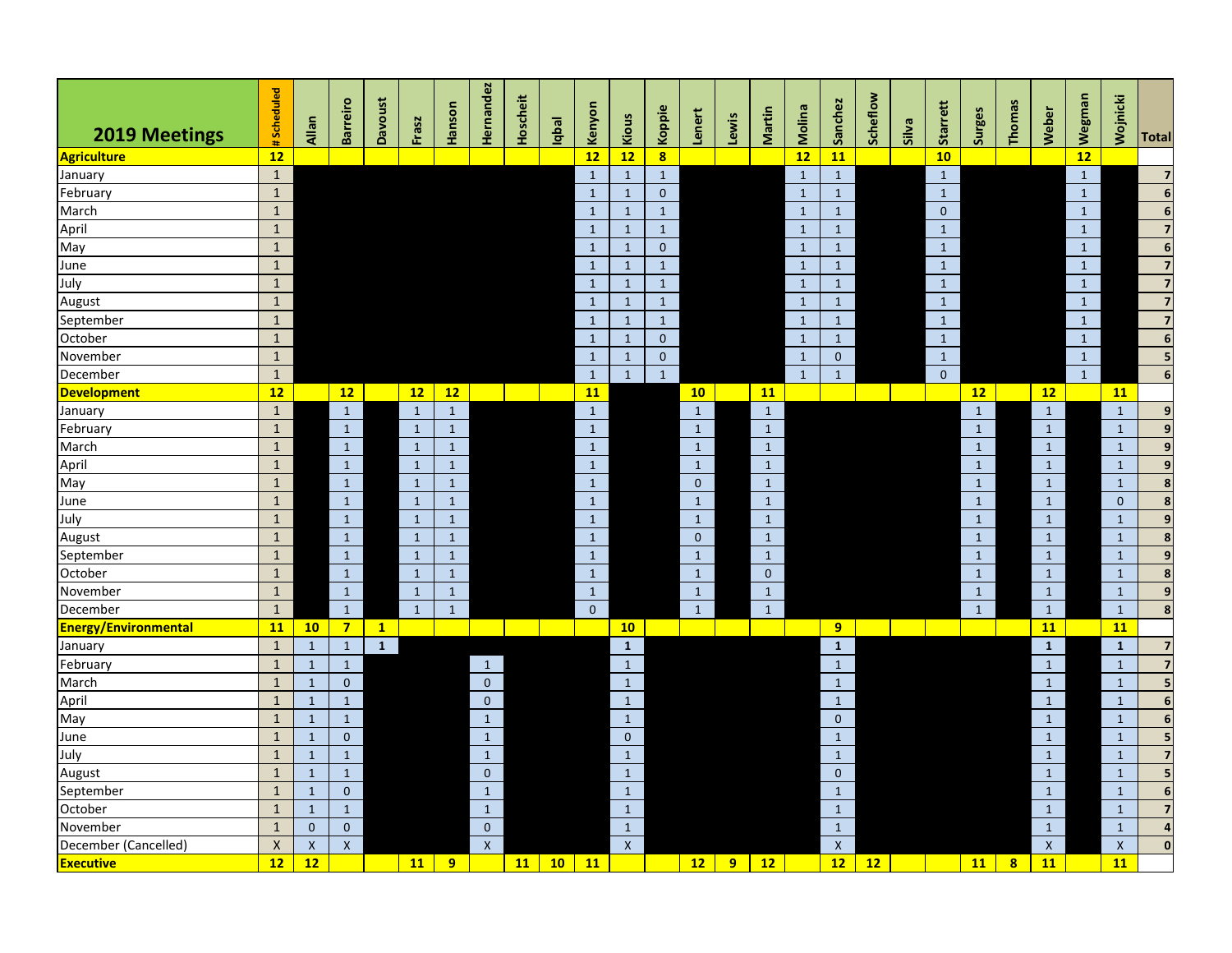| 2019 Meetings               | #Scheduled     | Allan        | Barreiro       | <b>Davoust</b> | Frasz        | Hanson       | Hernandez    | Hoscheit | Iapal | Kenyon         | Kious        | Koppie                  | Lenert         | Lewis          | Martin       | Molina       | Sanchez        | Scheflow | Silva | <b>Starrett</b> | <b>Surges</b> | Thomas | Weber        | Wegman       | Wojnicki       | <b>Total</b>            |
|-----------------------------|----------------|--------------|----------------|----------------|--------------|--------------|--------------|----------|-------|----------------|--------------|-------------------------|----------------|----------------|--------------|--------------|----------------|----------|-------|-----------------|---------------|--------|--------------|--------------|----------------|-------------------------|
| <b>Agriculture</b>          | 12             |              |                |                |              |              |              |          |       | 12             | 12           | $\overline{\mathbf{8}}$ |                |                |              | 12           | 11             |          |       | 10              |               |        |              | 12           |                |                         |
| January                     | $\mathbf{1}$   |              |                |                |              |              |              |          |       | $\mathbf{1}$   | $\mathbf{1}$ | $\mathbf{1}$            |                |                |              | $\mathbf{1}$ | $\mathbf{1}$   |          |       | $\mathbf{1}$    |               |        |              | $\mathbf 1$  |                | $\overline{7}$          |
| February                    | $\mathbf 1$    |              |                |                |              |              |              |          |       | $\mathbf{1}$   | $\mathbf{1}$ | $\mathbf 0$             |                |                |              | $\mathbf{1}$ | $\mathbf{1}$   |          |       | $\mathbf{1}$    |               |        |              | $\mathbf{1}$ |                | $\boldsymbol{6}$        |
| March                       | $\mathbf 1$    |              |                |                |              |              |              |          |       | $\mathbf{1}$   | $\mathbf 1$  | $\mathbf{1}$            |                |                |              | $\mathbf{1}$ | $\mathbf{1}$   |          |       | $\mathbf{0}$    |               |        |              | $\mathbf{1}$ |                | $\overline{\mathbf{6}}$ |
| April                       | $\mathbf 1$    |              |                |                |              |              |              |          |       | $\mathbf{1}$   | $\mathbf 1$  | $\mathbf{1}$            |                |                |              | $\mathbf{1}$ | $\mathbf 1$    |          |       | $\mathbf{1}$    |               |        |              | $\mathbf 1$  |                | $\overline{7}$          |
| May                         | $\mathbf{1}$   |              |                |                |              |              |              |          |       | $\mathbf{1}$   | $\mathbf{1}$ | $\mathbf 0$             |                |                |              | $\mathbf{1}$ | $\mathbf{1}$   |          |       | $\mathbf{1}$    |               |        |              | $\mathbf{1}$ |                | $\boldsymbol{6}$        |
| June                        | $\mathbf{1}$   |              |                |                |              |              |              |          |       | $\mathbf{1}$   | $\mathbf{1}$ | $\mathbf{1}$            |                |                |              | $\mathbf{1}$ | $\mathbf{1}$   |          |       | $\mathbf{1}$    |               |        |              | $\mathbf{1}$ |                | $\overline{7}$          |
| July                        | $\mathbf 1$    |              |                |                |              |              |              |          |       | $\mathbf 1$    | $\mathbf 1$  | $\mathbf{1}$            |                |                |              | $\mathbf{1}$ | $\mathbf{1}$   |          |       | $\mathbf{1}$    |               |        |              | $\mathbf 1$  |                | $\overline{\mathbf{z}}$ |
| August                      | $\mathbf{1}$   |              |                |                |              |              |              |          |       | $\mathbf{1}$   | $\mathbf{1}$ | $\mathbf{1}$            |                |                |              | $\mathbf{1}$ | $\mathbf{1}$   |          |       | $\mathbf{1}$    |               |        |              | $\mathbf{1}$ |                |                         |
| September                   | $\mathbf 1$    |              |                |                |              |              |              |          |       | $\mathbf{1}$   | $\mathbf{1}$ | $\mathbf{1}$            |                |                |              | $\mathbf{1}$ | $\mathbf{1}$   |          |       | $\mathbf{1}$    |               |        |              | $\mathbf{1}$ |                | $\overline{7}$          |
| October                     | $\mathbf 1$    |              |                |                |              |              |              |          |       | $\mathbf{1}$   | $\mathbf 1$  | $\mathbf 0$             |                |                |              | $\mathbf{1}$ | $\mathbf{1}$   |          |       | $\mathbf{1}$    |               |        |              | $\mathbf{1}$ |                | $\overline{6}$          |
| November                    | $\mathbf{1}$   |              |                |                |              |              |              |          |       | $\mathbf 1$    | $\mathbf{1}$ | $\mathbf 0$             |                |                |              | $\mathbf{1}$ | $\mathbf{0}$   |          |       | $\mathbf{1}$    |               |        |              | $\mathbf{1}$ |                | 5                       |
| December                    | $\mathbf{1}$   |              |                |                |              |              |              |          |       | $\mathbf{1}$   | $\mathbf{1}$ | $\overline{1}$          |                |                |              | $\mathbf{1}$ | $\mathbf{1}$   |          |       | $\mathbf{0}$    |               |        |              | $\mathbf{1}$ |                | $\boldsymbol{6}$        |
| <b>Development</b>          | 12             |              | 12             |                | 12           | 12           |              |          |       | <b>11</b>      |              |                         | 10             |                | <b>11</b>    |              |                |          |       |                 | 12            |        | 12           |              | <b>11</b>      |                         |
| January                     | $\mathbf{1}$   |              | $\mathbf{1}$   |                | $\mathbf{1}$ | $\mathbf 1$  |              |          |       | $\mathbf{1}$   |              |                         | $\mathbf{1}$   |                | $\,$ 1       |              |                |          |       |                 | $\mathbf 1$   |        | $\mathbf 1$  |              | $\mathbf{1}$   | 9                       |
| February                    | $\mathbf{1}$   |              | $\mathbf{1}$   |                | $\mathbf{1}$ | $\mathbf{1}$ |              |          |       | $\mathbf{1}$   |              |                         | $\mathbf{1}$   |                | $\mathbf{1}$ |              |                |          |       |                 | $\mathbf{1}$  |        | $\mathbf{1}$ |              | $\mathbf{1}$   | $\overline{9}$          |
| March                       | $\mathbf 1$    |              | $\mathbf 1$    |                | $\mathbf{1}$ | $\mathbf 1$  |              |          |       | $\mathbf 1$    |              |                         | $\mathbf 1$    |                | $\,1\,$      |              |                |          |       |                 | $\mathbf 1$   |        | $\mathbf 1$  |              | $\mathbf 1$    | $\overline{9}$          |
| April                       | $\mathbf{1}$   |              | $\mathbf{1}$   |                | $\mathbf{1}$ | $\mathbf 1$  |              |          |       | $\mathbf{1}$   |              |                         | $\mathbf{1}$   |                | $\,$ 1       |              |                |          |       |                 | $\mathbf{1}$  |        | $\mathbf{1}$ |              | $\mathbf{1}$   | $\mathbf{9}$            |
| May                         | $\mathbf{1}$   |              | $\mathbf{1}$   |                | $\mathbf{1}$ | $\mathbf{1}$ |              |          |       | $\mathbf{1}$   |              |                         | $\overline{0}$ |                | $\mathbf{1}$ |              |                |          |       |                 | $\mathbf{1}$  |        | $\mathbf{1}$ |              | $\mathbf{1}$   | 8                       |
| June                        | $\mathbf{1}$   |              | $\mathbf{1}$   |                | $\mathbf{1}$ | $\mathbf{1}$ |              |          |       | $\mathbf{1}$   |              |                         | $\mathbf{1}$   |                | $\mathbf{1}$ |              |                |          |       |                 | $\mathbf 1$   |        | $\mathbf{1}$ |              | $\overline{0}$ | $\overline{\mathbf{8}}$ |
| July                        | $\mathbf 1$    |              | $\mathbf{1}$   |                | $\mathbf{1}$ | $\mathbf 1$  |              |          |       | $\mathbf 1$    |              |                         | $\mathbf{1}$   |                | $\mathbf{1}$ |              |                |          |       |                 | $\mathbf 1$   |        | $\mathbf{1}$ |              | $\mathbf{1}$   | $\overline{9}$          |
| August                      | $\mathbf{1}$   |              | $\mathbf{1}$   |                | $\mathbf{1}$ | $\mathbf{1}$ |              |          |       | $\mathbf{1}$   |              |                         | $\mathbf{0}$   |                | $\mathbf{1}$ |              |                |          |       |                 | $\mathbf 1$   |        | $\mathbf{1}$ |              | $\mathbf 1$    | $\bf 8$                 |
| September                   | $\mathbf 1$    |              | $\mathbf{1}$   |                | $\mathbf{1}$ | $\mathbf{1}$ |              |          |       | $\mathbf{1}$   |              |                         | $\mathbf{1}$   |                | $\mathbf{1}$ |              |                |          |       |                 | $\mathbf{1}$  |        | $\mathbf{1}$ |              | $\mathbf{1}$   | $\overline{9}$          |
| October                     | $\mathbf{1}$   |              | $\mathbf{1}$   |                | $\mathbf{1}$ | $\mathbf{1}$ |              |          |       | $\mathbf{1}$   |              |                         | $\mathbf{1}$   |                | $\mathbf 0$  |              |                |          |       |                 | $\mathbf{1}$  |        | $\mathbf{1}$ |              | $\mathbf{1}$   | $\bf 8$                 |
| November                    | $\mathbf 1$    |              | $\mathbf{1}$   |                | $\mathbf{1}$ | $\mathbf{1}$ |              |          |       | $\mathbf 1$    |              |                         | $\mathbf{1}$   |                | $\,$ 1       |              |                |          |       |                 | $\mathbf 1$   |        | $\mathbf{1}$ |              | $\mathbf{1}$   | $\mathbf{9}$            |
| December                    | $\mathbf{1}$   |              | $\mathbf{1}$   |                | $\mathbf{1}$ | $\mathbf{1}$ |              |          |       | $\overline{0}$ |              |                         | $\mathbf{1}$   |                | $\mathbf{1}$ |              |                |          |       |                 | $\mathbf{1}$  |        | $\mathbf{1}$ |              | $\mathbf{1}$   | $\overline{\mathbf{8}}$ |
| <b>Energy/Environmental</b> | 11             | 10           | $\overline{7}$ | $\mathbf{1}$   |              |              |              |          |       |                | 10           |                         |                |                |              |              | 9 <sup>°</sup> |          |       |                 |               |        | <b>11</b>    |              | 11             |                         |
| January                     | $\mathbf{1}$   | $\mathbf{1}$ | $\mathbf{1}$   | $\mathbf{1}$   |              |              |              |          |       |                | $\mathbf{1}$ |                         |                |                |              |              | $\mathbf{1}$   |          |       |                 |               |        | $\mathbf 1$  |              | $\mathbf{1}$   | $\overline{7}$          |
| February                    | $\mathbf{1}$   | $\mathbf{1}$ | $\mathbf{1}$   |                |              |              | $\mathbf{1}$ |          |       |                | $\mathbf 1$  |                         |                |                |              |              | $\mathbf{1}$   |          |       |                 |               |        | $\mathbf{1}$ |              | $\mathbf 1$    | $\overline{\mathbf{z}}$ |
| March                       | $\mathbf{1}$   | $\mathbf{1}$ | $\mathbf{0}$   |                |              |              | $\mathbf 0$  |          |       |                | $\mathbf{1}$ |                         |                |                |              |              | $\mathbf{1}$   |          |       |                 |               |        | $\mathbf{1}$ |              | $\mathbf{1}$   | 5                       |
| April                       | $\mathbf{1}$   | $\mathbf{1}$ | $\mathbf{1}$   |                |              |              | $\mathbf{0}$ |          |       |                | $\mathbf{1}$ |                         |                |                |              |              | $\mathbf{1}$   |          |       |                 |               |        | $\mathbf{1}$ |              | $\mathbf{1}$   | $\overline{\mathbf{6}}$ |
| May                         | $\mathbf{1}$   | $\mathbf{1}$ | $\mathbf{1}$   |                |              |              | $\mathbf{1}$ |          |       |                | $\mathbf{1}$ |                         |                |                |              |              | $\mathbf{0}$   |          |       |                 |               |        | $\mathbf{1}$ |              | $\mathbf{1}$   | $\overline{6}$          |
| June                        | $\mathbf 1$    | $\mathbf 1$  | $\mathbf{0}$   |                |              |              | $\mathbf 1$  |          |       |                | $\pmb{0}$    |                         |                |                |              |              | $\mathbf{1}$   |          |       |                 |               |        | $\mathbf 1$  |              | $\mathbf{1}$   | $\overline{\mathbf{5}}$ |
| July                        | $\mathbf{1}$   | $\mathbf{1}$ | $\mathbf{1}$   |                |              |              | $\mathbf{1}$ |          |       |                | $\mathbf{1}$ |                         |                |                |              |              | $\mathbf{1}$   |          |       |                 |               |        | $\mathbf{1}$ |              | $\mathbf{1}$   | $\overline{\mathbf{z}}$ |
| August                      | $\mathbf{1}$   | $\mathbf{1}$ | $\mathbf{1}$   |                |              |              | $\mathbf{0}$ |          |       |                | $\mathbf{1}$ |                         |                |                |              |              | $\mathbf{0}$   |          |       |                 |               |        | $\mathbf{1}$ |              | $\mathbf{1}$   | 5                       |
| September                   | $\mathbf{1}$   | $\mathbf{1}$ | $\mathbf{0}$   |                |              |              | $\mathbf{1}$ |          |       |                | $\mathbf{1}$ |                         |                |                |              |              | $\mathbf{1}$   |          |       |                 |               |        | $\mathbf{1}$ |              | $\mathbf{1}$   | $\overline{\mathbf{6}}$ |
| October                     | $\mathbf{1}$   | $\mathbf{1}$ | $\mathbf{1}$   |                |              |              | $\mathbf 1$  |          |       |                | $\mathbf 1$  |                         |                |                |              |              | $\mathbf{1}$   |          |       |                 |               |        | $\mathbf{1}$ |              | $\mathbf{1}$   | $\overline{7}$          |
| November                    | $\mathbf{1}$   | $\mathbf{0}$ | $\mathbf{0}$   |                |              |              | $\mathbf 0$  |          |       |                | $\mathbf{1}$ |                         |                |                |              |              | $\mathbf{1}$   |          |       |                 |               |        | $\mathbf{1}$ |              | $\mathbf{1}$   | $\overline{\mathbf{4}}$ |
| December (Cancelled)        | $\pmb{\times}$ | $\mathsf{x}$ | $\mathsf{x}$   |                |              |              | $\mathsf{X}$ |          |       |                | $\mathsf{X}$ |                         |                |                |              |              | $\mathsf{x}$   |          |       |                 |               |        | $\mathsf{x}$ |              | $\mathsf{x}$   | $\overline{\mathbf{0}}$ |
| <b>Executive</b>            | 12             | 12           |                |                | 11           | 9            |              | 11       | 10    | 11             |              |                         | 12             | 9 <sup>°</sup> | 12           |              | 12             | 12       |       |                 | 11            | 8      | 11           |              | 11             |                         |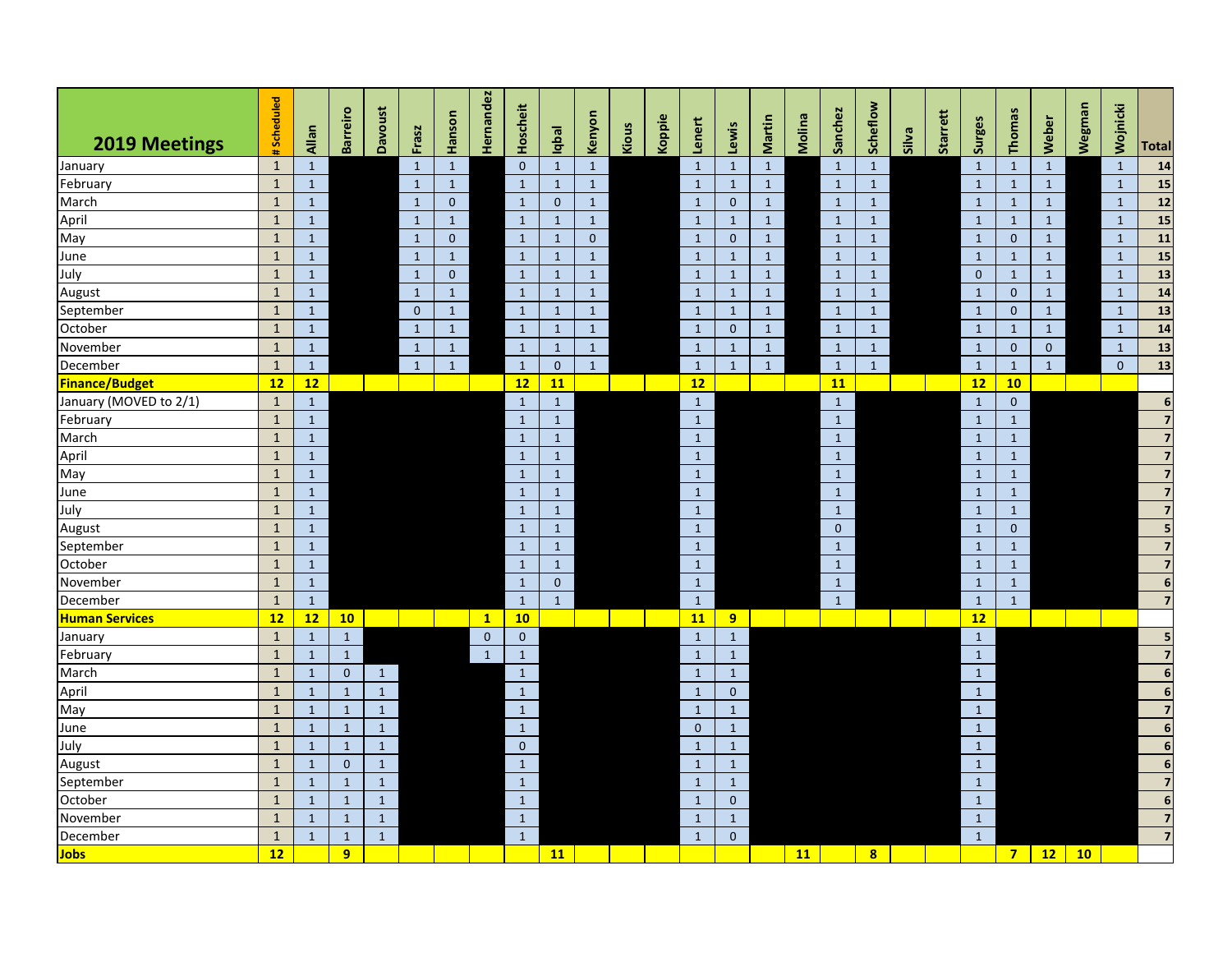| <b>2019 Meetings</b>   | Scheduled           | Allan        | <b>Barreiro</b> | <b>Davoust</b> | Frasz        | Hanson       | Hernandez    | Hoscheit     | Inpal        | Kenyon       | Kious | Koppie | Lenert       | Lewis          | Martin       | Molina    | Sanchez      | Scheflow     | Silva | Starrett | Surges       | <b>Thomas</b>  | Weber        | Wegman | Wojnicki     | <b>Total</b>             |
|------------------------|---------------------|--------------|-----------------|----------------|--------------|--------------|--------------|--------------|--------------|--------------|-------|--------|--------------|----------------|--------------|-----------|--------------|--------------|-------|----------|--------------|----------------|--------------|--------|--------------|--------------------------|
| January                | th,<br>$\mathbf{1}$ | $\mathbf{1}$ |                 |                | $\mathbf{1}$ | $\mathbf{1}$ |              | $\mathbf{0}$ | $\mathbf{1}$ | $\mathbf{1}$ |       |        | $\mathbf{1}$ | $\mathbf{1}$   | $\mathbf{1}$ |           | $\mathbf{1}$ | $\mathbf{1}$ |       |          | $\mathbf{1}$ | $\mathbf{1}$   | $\mathbf{1}$ |        | $\mathbf{1}$ | 14                       |
| February               | $\mathbf{1}$        | $\mathbf{1}$ |                 |                | $\mathbf{1}$ | $\mathbf{1}$ |              | $\mathbf{1}$ | $\mathbf{1}$ | $\mathbf{1}$ |       |        | $\mathbf{1}$ | $\mathbf{1}$   | $\mathbf{1}$ |           | $\mathbf{1}$ | $\mathbf{1}$ |       |          | $\mathbf{1}$ | $\mathbf{1}$   | $\mathbf{1}$ |        | $\mathbf{1}$ | 15                       |
| March                  | $\mathbf{1}$        | $\mathbf{1}$ |                 |                | $\mathbf{1}$ | $\mathbf{0}$ |              | $\mathbf{1}$ | $\mathbf{0}$ | $\mathbf{1}$ |       |        | $\mathbf{1}$ | $\mathbf{0}$   | $\mathbf{1}$ |           | $\mathbf{1}$ | $\mathbf{1}$ |       |          | $\mathbf{1}$ | $\mathbf{1}$   | $\mathbf{1}$ |        | $\mathbf{1}$ | 12                       |
| April                  | $\mathbf{1}$        | $\mathbf{1}$ |                 |                | $\mathbf{1}$ | $\mathbf{1}$ |              | $\mathbf{1}$ | $\mathbf{1}$ | $\mathbf{1}$ |       |        | $\mathbf{1}$ | $\mathbf{1}$   | $\mathbf{1}$ |           | $\mathbf{1}$ | $\mathbf{1}$ |       |          | $\mathbf{1}$ | $\mathbf{1}$   | $\mathbf{1}$ |        | $\mathbf{1}$ | 15                       |
| May                    | $\mathbf{1}$        | $\mathbf{1}$ |                 |                | $\mathbf{1}$ | $\mathbf{0}$ |              | $\mathbf{1}$ | $\mathbf{1}$ | $\mathbf{0}$ |       |        | $\mathbf{1}$ | $\mathbf{0}$   | $\mathbf{1}$ |           | $\mathbf{1}$ | $\mathbf{1}$ |       |          | $\mathbf{1}$ | $\mathbf{0}$   | $\mathbf{1}$ |        | $\mathbf{1}$ | 11                       |
| June                   | $\mathbf{1}$        | $\mathbf{1}$ |                 |                | $\mathbf{1}$ | $\mathbf{1}$ |              | $\mathbf{1}$ | $\mathbf{1}$ | $\mathbf{1}$ |       |        | $\mathbf{1}$ | $\mathbf{1}$   | $\mathbf{1}$ |           | $\mathbf{1}$ | $\mathbf{1}$ |       |          | $\mathbf{1}$ | $\mathbf{1}$   | $\mathbf{1}$ |        | $\mathbf{1}$ | 15                       |
| July                   | $\mathbf{1}$        | $\mathbf{1}$ |                 |                | $\mathbf{1}$ | $\mathbf{0}$ |              | $\mathbf{1}$ | $\mathbf{1}$ | $\mathbf{1}$ |       |        | $\mathbf{1}$ | $\mathbf{1}$   | $\mathbf{1}$ |           | $\mathbf{1}$ | $\mathbf{1}$ |       |          | $\mathbf 0$  | $\mathbf{1}$   | $\mathbf{1}$ |        | $\mathbf{1}$ | $\overline{\mathbf{13}}$ |
| August                 | $\mathbf{1}$        | $\mathbf{1}$ |                 |                | $\mathbf{1}$ | $\mathbf{1}$ |              | $\mathbf{1}$ | $\mathbf{1}$ | $\mathbf{1}$ |       |        | $\mathbf{1}$ | $\mathbf{1}$   | $\mathbf{1}$ |           | $\mathbf{1}$ | $\mathbf{1}$ |       |          | $\mathbf{1}$ | $\mathbf{0}$   | $\mathbf{1}$ |        | $\mathbf{1}$ | 14                       |
| September              | $\mathbf{1}$        | $\mathbf{1}$ |                 |                | $\mathbf{0}$ | $\mathbf{1}$ |              | $\mathbf{1}$ | $\mathbf{1}$ | $\mathbf{1}$ |       |        | $\mathbf{1}$ | $\mathbf{1}$   | $\mathbf{1}$ |           | $\mathbf{1}$ | $\mathbf{1}$ |       |          | $\mathbf{1}$ | $\mathbf{0}$   | $\mathbf{1}$ |        | $\mathbf{1}$ | 13                       |
| October                | $\mathbf{1}$        | $\mathbf{1}$ |                 |                | $\mathbf{1}$ | $\mathbf{1}$ |              | $\mathbf{1}$ | $\mathbf{1}$ | $\mathbf{1}$ |       |        | $\mathbf{1}$ | $\mathbf{0}$   | $\mathbf{1}$ |           | $\mathbf{1}$ | $\mathbf{1}$ |       |          | $\mathbf{1}$ | $\mathbf{1}$   | $\mathbf{1}$ |        | $\mathbf{1}$ | $14$                     |
| November               | $\mathbf{1}$        | $\mathbf{1}$ |                 |                | $\mathbf{1}$ | $\mathbf{1}$ |              | $\mathbf{1}$ | $\mathbf{1}$ | $\mathbf{1}$ |       |        | $\mathbf{1}$ | $\mathbf{1}$   | $\mathbf{1}$ |           | $\mathbf{1}$ | $\mathbf{1}$ |       |          | $\mathbf{1}$ | $\mathbf{0}$   | $\mathbf{0}$ |        | $\mathbf{1}$ | 13                       |
| December               | $\mathbf{1}$        | $\mathbf{1}$ |                 |                | $\mathbf{1}$ | $\mathbf{1}$ |              | $\mathbf{1}$ | $\mathbf{0}$ | $\mathbf{1}$ |       |        | $\mathbf{1}$ | $\mathbf{1}$   | $\mathbf{1}$ |           | $\mathbf{1}$ | $\mathbf{1}$ |       |          | $\mathbf{1}$ | $\mathbf{1}$   | $\mathbf{1}$ |        | $\Omega$     | $13$                     |
| <b>Finance/Budget</b>  | 12                  | 12           |                 |                |              |              |              | 12           | 11           |              |       |        | 12           |                |              |           | <b>11</b>    |              |       |          | 12           | 10             |              |        |              |                          |
| January (MOVED to 2/1) | $\mathbf{1}$        | $\mathbf{1}$ |                 |                |              |              |              | $\mathbf{1}$ | $\mathbf{1}$ |              |       |        | $\mathbf{1}$ |                |              |           | $\mathbf 1$  |              |       |          | $\mathbf{1}$ | $\mathbf{0}$   |              |        |              | $\boldsymbol{6}$         |
| February               | $\mathbf{1}$        | $\mathbf{1}$ |                 |                |              |              |              | $\mathbf{1}$ | $\mathbf{1}$ |              |       |        | $\mathbf{1}$ |                |              |           | $\mathbf{1}$ |              |       |          | $\mathbf{1}$ | $\mathbf{1}$   |              |        |              | $\overline{z}$           |
| March                  | $\mathbf{1}$        | $\mathbf{1}$ |                 |                |              |              |              | $\mathbf{1}$ | $\mathbf{1}$ |              |       |        | $\mathbf{1}$ |                |              |           | $\mathbf{1}$ |              |       |          | $\mathbf{1}$ | $\mathbf{1}$   |              |        |              | $\overline{\mathbf{z}}$  |
| April                  | $\mathbf{1}$        | $\mathbf{1}$ |                 |                |              |              |              | $\mathbf{1}$ | $\mathbf{1}$ |              |       |        | $\mathbf{1}$ |                |              |           | $\mathbf{1}$ |              |       |          | $\mathbf{1}$ | $\mathbf{1}$   |              |        |              |                          |
| May                    | $\mathbf{1}$        | $\mathbf{1}$ |                 |                |              |              |              | $\mathbf{1}$ | $\mathbf{1}$ |              |       |        | $\mathbf{1}$ |                |              |           | $\mathbf{1}$ |              |       |          | $\mathbf{1}$ | $\mathbf{1}$   |              |        |              | $\overline{7}$           |
| June                   | $\mathbf{1}$        | $\mathbf{1}$ |                 |                |              |              |              | $\mathbf{1}$ | $\mathbf{1}$ |              |       |        | $\mathbf{1}$ |                |              |           | $\mathbf{1}$ |              |       |          | $\mathbf{1}$ | $\mathbf{1}$   |              |        |              | $\overline{7}$           |
| July                   | $\mathbf{1}$        | $\mathbf{1}$ |                 |                |              |              |              | $\mathbf{1}$ | $\mathbf{1}$ |              |       |        | $\mathbf{1}$ |                |              |           | $\mathbf{1}$ |              |       |          | $\mathbf{1}$ | $\mathbf{1}$   |              |        |              | $\overline{7}$           |
| August                 | $\mathbf{1}$        | $\mathbf{1}$ |                 |                |              |              |              | $\mathbf{1}$ | $\mathbf{1}$ |              |       |        | $\mathbf{1}$ |                |              |           | $\mathbf{0}$ |              |       |          | $\mathbf{1}$ | $\mathbf{0}$   |              |        |              | 5                        |
| September              | $\mathbf{1}$        | $\mathbf{1}$ |                 |                |              |              |              | $\mathbf{1}$ | $\mathbf{1}$ |              |       |        | $\mathbf{1}$ |                |              |           | $\mathbf{1}$ |              |       |          | $\mathbf{1}$ | $\mathbf{1}$   |              |        |              | $\overline{\mathbf{z}}$  |
| October                | $\mathbf{1}$        | $\mathbf{1}$ |                 |                |              |              |              | $\mathbf{1}$ | $\mathbf{1}$ |              |       |        | $\mathbf{1}$ |                |              |           | $\mathbf{1}$ |              |       |          | $\mathbf{1}$ | $\mathbf{1}$   |              |        |              | $\overline{7}$           |
| November               | $\mathbf{1}$        | $\,$ 1       |                 |                |              |              |              | $\mathbf{1}$ | $\mathbf 0$  |              |       |        | $\mathbf 1$  |                |              |           | $\mathbf 1$  |              |       |          | $\mathbf{1}$ | $\mathbf 1$    |              |        |              | $\overline{6}$           |
| December               | $\mathbf{1}$        | $\mathbf{1}$ |                 |                |              |              |              | $\mathbf{1}$ | $\mathbf{1}$ |              |       |        | $\mathbf{1}$ |                |              |           | $\mathbf{1}$ |              |       |          | $\mathbf{1}$ | $\mathbf{1}$   |              |        |              | $\overline{7}$           |
| <b>Human Services</b>  | 12                  | 12           | 10              |                |              |              | $\mathbf{1}$ | 10           |              |              |       |        | 11           | 9 <sup>°</sup> |              |           |              |              |       |          | 12           |                |              |        |              |                          |
| January                | $\mathbf{1}$        | $\mathbf{1}$ | $\mathbf{1}$    |                |              |              | $\mathbf 0$  | $\mathbf 0$  |              |              |       |        | $\mathbf{1}$ | $\mathbf{1}$   |              |           |              |              |       |          | $\mathbf 1$  |                |              |        |              | 5                        |
| February               | $\mathbf{1}$        | $\mathbf{1}$ | $\mathbf 1$     |                |              |              | $\mathbf{1}$ | $\mathbf{1}$ |              |              |       |        | $\mathbf{1}$ | $\mathbf{1}$   |              |           |              |              |       |          | $\mathbf 1$  |                |              |        |              | $\overline{z}$           |
| March                  | $\mathbf{1}$        | $\mathbf{1}$ | $\mathbf{0}$    | $\mathbf{1}$   |              |              |              | $\mathbf{1}$ |              |              |       |        | $\mathbf{1}$ | $\mathbf{1}$   |              |           |              |              |       |          | $\mathbf{1}$ |                |              |        |              | $\boldsymbol{6}$         |
| April                  | $\mathbf{1}$        | $\mathbf{1}$ | $\mathbf{1}$    | $\mathbf 1$    |              |              |              | $\mathbf{1}$ |              |              |       |        | $1\,$        | $\mathbf{0}$   |              |           |              |              |       |          | $1\,$        |                |              |        |              | $\overline{6}$           |
| May                    | $\mathbf{1}$        | $\mathbf{1}$ | $\mathbf{1}$    | $\mathbf 1$    |              |              |              | $\mathbf{1}$ |              |              |       |        | $\mathbf{1}$ | $\mathbf{1}$   |              |           |              |              |       |          | $1\,$        |                |              |        |              | $\overline{7}$           |
| June                   | $\mathbf{1}$        | $\,1\,$      | $\mathbf{1}$    | $\,1\,$        |              |              |              | $\mathbf{1}$ |              |              |       |        | $\mathbf{0}$ | $\mathbf{1}$   |              |           |              |              |       |          | $\mathbf 1$  |                |              |        |              | $\overline{6}$           |
| July                   | $\mathbf{1}$        | $\mathbf{1}$ | $\mathbf{1}$    | $\mathbf 1$    |              |              |              | $\mathbf{0}$ |              |              |       |        | $\mathbf{1}$ | $\mathbf{1}$   |              |           |              |              |       |          | $\mathbf 1$  |                |              |        |              | $\overline{6}$           |
| August                 | $\mathbf{1}$        | $\mathbf{1}$ | $\mathbf 0$     | $\mathbf{1}$   |              |              |              | $\mathbf{1}$ |              |              |       |        | $\mathbf{1}$ | $\mathbf{1}$   |              |           |              |              |       |          | $\mathbf{1}$ |                |              |        |              | $\boldsymbol{6}$         |
| September              | $\mathbf{1}$        | $\mathbf{1}$ | $\mathbf{1}$    | $\mathbf{1}$   |              |              |              | $\mathbf{1}$ |              |              |       |        | $\mathbf{1}$ | $\mathbf{1}$   |              |           |              |              |       |          | $\mathbf{1}$ |                |              |        |              | $\overline{7}$           |
| October                | $\mathbf{1}$        | $\mathbf{1}$ | $\mathbf{1}$    | $\mathbf{1}$   |              |              |              | $\mathbf{1}$ |              |              |       |        | $\mathbf{1}$ | $\mathbf{0}$   |              |           |              |              |       |          | $1\,$        |                |              |        |              | $\boldsymbol{6}$         |
| November               | $\mathbf 1$         | $\mathbf{1}$ | $\mathbf{1}$    | $\mathbf{1}$   |              |              |              | $\mathbf{1}$ |              |              |       |        | $\mathbf{1}$ | $\mathbf{1}$   |              |           |              |              |       |          | $\mathbf{1}$ |                |              |        |              | $\overline{7}$           |
| December               | $\mathbf{1}$        | $\mathbf{1}$ | $\mathbf{1}$    | $\mathbf{1}$   |              |              |              | $\mathbf{1}$ |              |              |       |        | $\mathbf{1}$ | $\mathbf{0}$   |              |           |              |              |       |          | $\mathbf{1}$ |                |              |        |              | $\overline{7}$           |
| Jobs                   | 12                  |              | $\overline{9}$  |                |              |              |              |              | <b>11</b>    |              |       |        |              |                |              | <b>11</b> |              | 8            |       |          |              | 7 <sup>7</sup> | 12           | 10     |              |                          |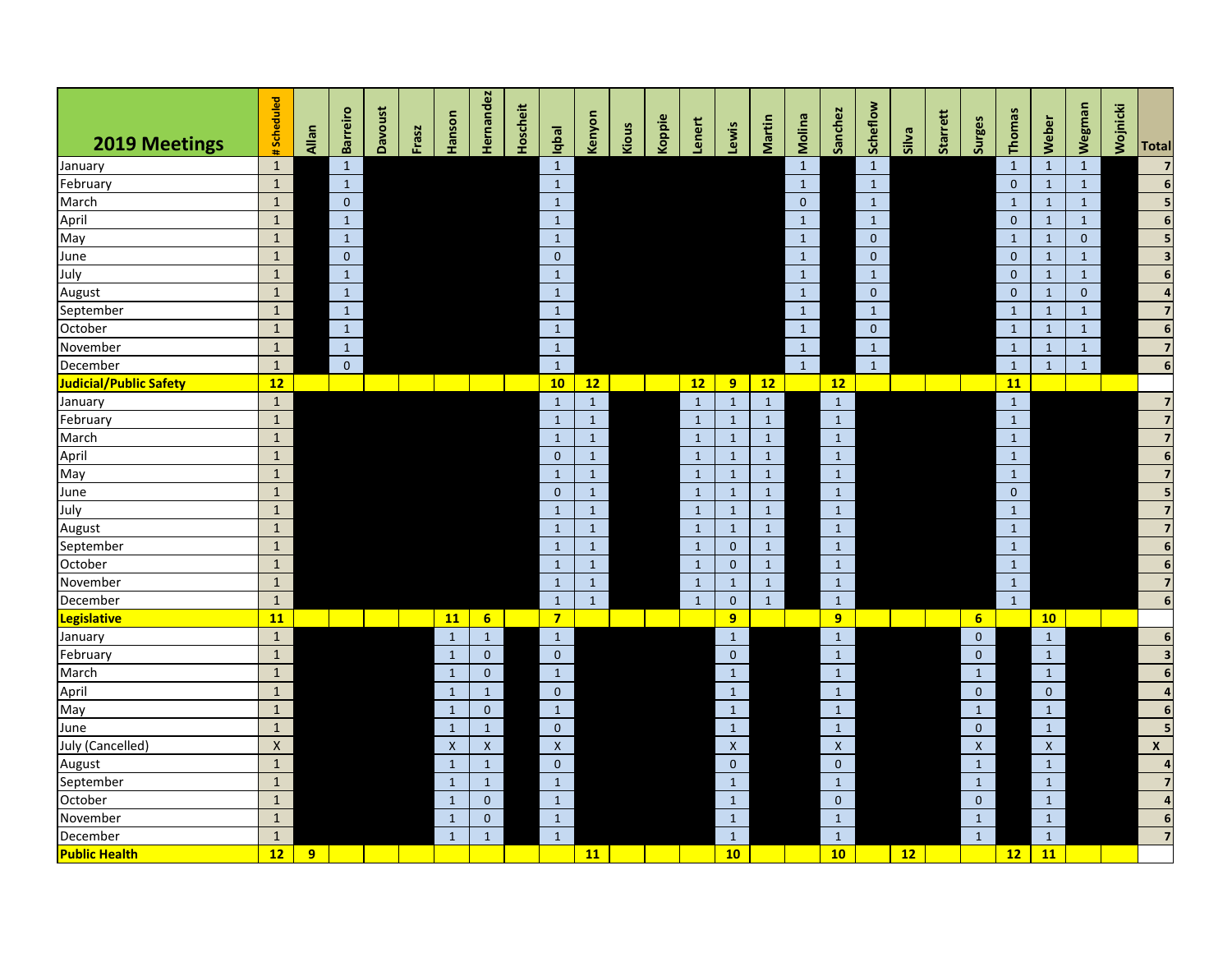| 2019 Meetings          | Scheduled<br>$\blacksquare$ | Allan          | <b>Barreiro</b> | Davoust | Frasz | Hanson       | lernandez       | <b>Hoscheit</b> | Iqbal          | Kenyon       | Kious | Koppie | Lenert       | ewis         | Martin       | Molina       | Sanchez      | Scheflow     | Silva | Starrett | Surges                    | Thomas         | Weber        | Wegman       | Wojnicki | <b>Total</b>            |
|------------------------|-----------------------------|----------------|-----------------|---------|-------|--------------|-----------------|-----------------|----------------|--------------|-------|--------|--------------|--------------|--------------|--------------|--------------|--------------|-------|----------|---------------------------|----------------|--------------|--------------|----------|-------------------------|
| January                | $\mathbf{1}$                |                | $\mathbf{1}$    |         |       |              |                 |                 | $\mathbf{1}$   |              |       |        |              |              |              | $\mathbf{1}$ |              | $\mathbf{1}$ |       |          |                           | $\mathbf{1}$   | $\mathbf{1}$ | $\mathbf 1$  |          | $\overline{7}$          |
| February               | $\mathbf 1$                 |                | $\mathbf{1}$    |         |       |              |                 |                 | $\mathbf{1}$   |              |       |        |              |              |              | $\mathbf{1}$ |              | $\mathbf{1}$ |       |          |                           | $\mathbf{0}$   | $\mathbf{1}$ | $\mathbf{1}$ |          | $\overline{6}$          |
| March                  | $\mathbf{1}$                |                | $\mathbf{0}$    |         |       |              |                 |                 | $\mathbf{1}$   |              |       |        |              |              |              | $\pmb{0}$    |              | $\mathbf{1}$ |       |          |                           | $\mathbf{1}$   | $\mathbf{1}$ | $\mathbf{1}$ |          | $\overline{\mathbf{5}}$ |
| April                  | $\mathbf 1$                 |                | $\,1\,$         |         |       |              |                 |                 | $\mathbf{1}$   |              |       |        |              |              |              | $\mathbf{1}$ |              | $\mathbf{1}$ |       |          |                           | $\mathbf{0}$   | $\mathbf{1}$ | $\mathbf{1}$ |          | $\overline{6}$          |
| May                    | $\mathbf{1}$                |                | $\mathbf{1}$    |         |       |              |                 |                 | $\mathbf{1}$   |              |       |        |              |              |              | $\mathbf{1}$ |              | $\mathbf 0$  |       |          |                           | $\mathbf{1}$   | $\mathbf 1$  | $\pmb{0}$    |          | 5                       |
| June                   | $\mathbf 1$                 |                | $\mathbf{0}$    |         |       |              |                 |                 | $\mathbf{0}$   |              |       |        |              |              |              | $\mathbf{1}$ |              | $\mathbf{0}$ |       |          |                           | $\mathbf{0}$   | $\mathbf{1}$ | $\mathbf{1}$ |          | $\overline{\mathbf{3}}$ |
| July                   | $\mathbf{1}$                |                | $\mathbf{1}$    |         |       |              |                 |                 | $\mathbf{1}$   |              |       |        |              |              |              | $\mathbf{1}$ |              | $\mathbf{1}$ |       |          |                           | $\mathbf{0}$   | $\mathbf{1}$ | $\mathbf{1}$ |          | $\boldsymbol{6}$        |
| August                 | $\mathbf 1$                 |                | $\mathbf{1}$    |         |       |              |                 |                 | $\mathbf{1}$   |              |       |        |              |              |              | $\mathbf{1}$ |              | $\mathbf 0$  |       |          |                           | $\mathbf{0}$   | $\mathbf{1}$ | $\mathbf 0$  |          | $\overline{a}$          |
| September              | $\mathbf{1}$                |                | $\mathbf{1}$    |         |       |              |                 |                 | $\mathbf{1}$   |              |       |        |              |              |              | $\mathbf{1}$ |              | $\mathbf{1}$ |       |          |                           | $\mathbf{1}$   | $\mathbf{1}$ | $\mathbf{1}$ |          | $\overline{\mathbf{z}}$ |
| October                | $\mathbf{1}$                |                | $\mathbf{1}$    |         |       |              |                 |                 | $\mathbf{1}$   |              |       |        |              |              |              | $\mathbf{1}$ |              | $\pmb{0}$    |       |          |                           | $\mathbf{1}$   | $\mathbf{1}$ | $\mathbf{1}$ |          | $\boldsymbol{6}$        |
| November               | $\mathbf 1$                 |                | $\mathbf{1}$    |         |       |              |                 |                 | $\mathbf{1}$   |              |       |        |              |              |              | $\mathbf{1}$ |              | $\mathbf{1}$ |       |          |                           | $\mathbf{1}$   | $\mathbf{1}$ | $\mathbf{1}$ |          | $\overline{7}$          |
| December               | $\mathbf 1$                 |                | $\mathbf{0}$    |         |       |              |                 |                 | $\mathbf{1}$   |              |       |        |              |              |              | $\mathbf{1}$ |              | $\mathbf{1}$ |       |          |                           | $\mathbf{1}$   | $\mathbf{1}$ | $1\,$        |          | $\boldsymbol{6}$        |
| Judicial/Public Safety | 12                          |                |                 |         |       |              |                 |                 | 10             | 12           |       |        | 12           | 9            | 12           |              | 12           |              |       |          |                           | 11             |              |              |          |                         |
| January                | $\mathbf{1}$                |                |                 |         |       |              |                 |                 | $\mathbf{1}$   | $\mathbf 1$  |       |        | $\mathbf{1}$ | $\mathbf{1}$ | $\,$ 1       |              | $\mathbf 1$  |              |       |          |                           | $\,1\,$        |              |              |          | $\overline{7}$          |
| February               | $\mathbf 1$                 |                |                 |         |       |              |                 |                 | $\mathbf{1}$   | $\mathbf{1}$ |       |        | $\mathbf{1}$ | $\mathbf{1}$ | $\mathbf{1}$ |              | $\mathbf{1}$ |              |       |          |                           | $\mathbf{1}$   |              |              |          | $\overline{\mathbf{z}}$ |
| March                  | $\mathbf 1$                 |                |                 |         |       |              |                 |                 | $\mathbf{1}$   | $\mathbf{1}$ |       |        | $\mathbf{1}$ | $\mathbf{1}$ | $\mathbf{1}$ |              | $\mathbf{1}$ |              |       |          |                           | $\mathbf{1}$   |              |              |          | $\overline{7}$          |
| April                  | $\mathbf{1}$                |                |                 |         |       |              |                 |                 | $\mathbf{0}$   | $\mathbf{1}$ |       |        | $\mathbf{1}$ | $\mathbf{1}$ | $\mathbf{1}$ |              | $\mathbf{1}$ |              |       |          |                           | $\mathbf 1$    |              |              |          | $\boldsymbol{6}$        |
| May                    | $\mathbf{1}$                |                |                 |         |       |              |                 |                 | $\mathbf{1}$   | $\mathbf{1}$ |       |        | $\mathbf{1}$ | $\mathbf{1}$ | $\mathbf{1}$ |              | $\mathbf{1}$ |              |       |          |                           | $\mathbf{1}$   |              |              |          | $\overline{\mathbf{z}}$ |
| June                   | $\mathbf{1}$                |                |                 |         |       |              |                 |                 | $\mathbf{0}$   | $\mathbf{1}$ |       |        | $\mathbf{1}$ | $\mathbf{1}$ | $\mathbf{1}$ |              | $\mathbf{1}$ |              |       |          |                           | $\overline{0}$ |              |              |          | 5                       |
| July                   | $\mathbf{1}$                |                |                 |         |       |              |                 |                 | $\mathbf{1}$   | $\mathbf{1}$ |       |        | $\mathbf{1}$ | $\mathbf{1}$ | $\mathbf{1}$ |              | $\mathbf{1}$ |              |       |          |                           | $\mathbf{1}$   |              |              |          | $\overline{\mathbf{z}}$ |
| August                 | $\mathbf{1}$                |                |                 |         |       |              |                 |                 | $\mathbf{1}$   | $\mathbf{1}$ |       |        | $\mathbf{1}$ | $\mathbf{1}$ | $\mathbf{1}$ |              | $\mathbf{1}$ |              |       |          |                           | $\mathbf{1}$   |              |              |          | $\overline{7}$          |
| September              | $\mathbf{1}$                |                |                 |         |       |              |                 |                 | $\mathbf{1}$   | $\mathbf{1}$ |       |        | $\mathbf{1}$ | $\mathbf{0}$ | $\mathbf{1}$ |              | $\mathbf{1}$ |              |       |          |                           | $\mathbf{1}$   |              |              |          | $\overline{\mathbf{6}}$ |
| October                | $\mathbf{1}$                |                |                 |         |       |              |                 |                 | $\mathbf{1}$   | $\mathbf{1}$ |       |        | $\mathbf{1}$ | $\mathbf{0}$ | $\mathbf{1}$ |              | $\mathbf{1}$ |              |       |          |                           | $\mathbf{1}$   |              |              |          | $\boldsymbol{6}$        |
| November               | $\mathbf{1}$                |                |                 |         |       |              |                 |                 | $\mathbf{1}$   | $\mathbf{1}$ |       |        | $\mathbf{1}$ | $\mathbf{1}$ | $\mathbf{1}$ |              | $\mathbf{1}$ |              |       |          |                           | $\mathbf{1}$   |              |              |          | $\overline{7}$          |
| December               | $\mathbf{1}$                |                |                 |         |       |              |                 |                 | $\mathbf{1}$   | $\mathbf{1}$ |       |        | $\mathbf{1}$ | $\mathbf{0}$ | $\mathbf{1}$ |              | $\mathbf{1}$ |              |       |          |                           | $\mathbf{1}$   |              |              |          | $\boldsymbol{6}$        |
| Legislative            | 11                          |                |                 |         |       | 11           | $6\overline{6}$ |                 | $7\overline{}$ |              |       |        |              | 9            |              |              | 9            |              |       |          | 6                         |                | 10           |              |          |                         |
| January                | $\mathbf{1}$                |                |                 |         |       | $\mathbf{1}$ | $\mathbf{1}$    |                 | $\mathbf{1}$   |              |       |        |              | $\mathbf{1}$ |              |              | $\mathbf{1}$ |              |       |          | $\mathbf{0}$              |                | $\mathbf{1}$ |              |          | $\boldsymbol{6}$        |
| February               | $\mathbf 1$                 |                |                 |         |       | $\mathbf{1}$ | $\mathbf{0}$    |                 | $\mathbf{0}$   |              |       |        |              | $\mathbf{0}$ |              |              | $\mathbf{1}$ |              |       |          | $\mathbf 0$               |                | $\mathbf{1}$ |              |          | $\overline{\mathbf{3}}$ |
| March                  | $\mathbf{1}$                |                |                 |         |       | $\mathbf{1}$ | $\mathbf{0}$    |                 | $\mathbf{1}$   |              |       |        |              | $\mathbf{1}$ |              |              | $\mathbf{1}$ |              |       |          | $\mathbf 1$               |                | $\mathbf{1}$ |              |          | $\boldsymbol{6}$        |
| April                  | $\mathbf{1}$                |                |                 |         |       | $\mathbf{1}$ | $\mathbf{1}$    |                 | $\mathbf{0}$   |              |       |        |              | $\mathbf{1}$ |              |              | $\mathbf{1}$ |              |       |          | $\mathbf{0}$              |                | $\mathbf{0}$ |              |          | $\overline{\mathbf{4}}$ |
| May                    | $\mathbf 1$                 |                |                 |         |       | $\mathbf{1}$ | $\mathbf{0}$    |                 | $\mathbf{1}$   |              |       |        |              | $\mathbf{1}$ |              |              | $\mathbf{1}$ |              |       |          | $\mathbf 1$               |                | $\mathbf{1}$ |              |          | $\boldsymbol{6}$        |
| June                   | $\mathbf{1}$                |                |                 |         |       | $\mathbf{1}$ | $\mathbf{1}$    |                 | $\mathbf{0}$   |              |       |        |              | $\mathbf{1}$ |              |              | $\mathbf{1}$ |              |       |          | $\mathbf{0}$              |                | $\mathbf{1}$ |              |          |                         |
| July (Cancelled)       | $\pmb{\mathsf{X}}$          |                |                 |         |       | $\mathsf X$  | $\mathsf{X}$    |                 | $\pmb{\times}$ |              |       |        |              | $\mathsf{X}$ |              |              | $\mathsf{X}$ |              |       |          | $\boldsymbol{\mathsf{X}}$ |                | $\mathsf{X}$ |              |          | $\mathsf{x}$            |
| August                 | $\mathbf 1$                 |                |                 |         |       | $\mathbf{1}$ | $\mathbf{1}$    |                 | $\mathbf{0}$   |              |       |        |              | $\mathbf 0$  |              |              | $\mathbf 0$  |              |       |          | $\mathbf 1$               |                | $\mathbf{1}$ |              |          | $\overline{a}$          |
| September              | $\mathbf 1$                 |                |                 |         |       | $\mathbf{1}$ | $\mathbf{1}$    |                 | $\mathbf{1}$   |              |       |        |              | $\mathbf{1}$ |              |              | $\mathbf{1}$ |              |       |          | $\mathbf{1}$              |                | $\mathbf{1}$ |              |          | $\overline{7}$          |
| October                | $\mathbf{1}$                |                |                 |         |       | $\mathbf{1}$ | $\mathbf{0}$    |                 | $\mathbf{1}$   |              |       |        |              | $\mathbf{1}$ |              |              | $\mathbf{0}$ |              |       |          | $\pmb{0}$                 |                | $\mathbf{1}$ |              |          | $\overline{a}$          |
| November               | $\mathbf 1$                 |                |                 |         |       | $\mathbf{1}$ | $\mathbf{0}$    |                 | $\mathbf{1}$   |              |       |        |              | $\mathbf{1}$ |              |              | $\mathbf{1}$ |              |       |          | $\mathbf 1$               |                | $\mathbf{1}$ |              |          | $\boldsymbol{6}$        |
| December               | $\mathbf{1}$                |                |                 |         |       | $\mathbf{1}$ | $\mathbf{1}$    |                 | $\mathbf{1}$   |              |       |        |              | $\mathbf{1}$ |              |              | $\mathbf 1$  |              |       |          | $\mathbf{1}$              |                | $\mathbf{1}$ |              |          | $\overline{\mathbf{z}}$ |
| <b>Public Health</b>   | 12                          | 9 <sub>o</sub> |                 |         |       |              |                 |                 |                | 11           |       |        |              | 10           |              |              | 10           |              | 12    |          |                           | 12             | 11           |              |          |                         |